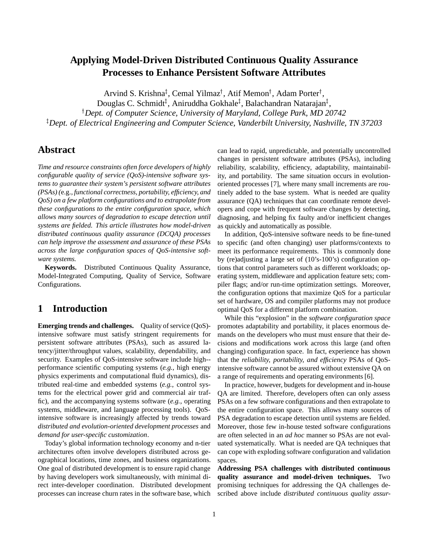# **Applying Model-Driven Distributed Continuous Quality Assurance Processes to Enhance Persistent Software Attributes**

Arvind S. Krishna<sup>‡</sup>, Cemal Yilmaz<sup>†</sup>, Atif Memon<sup>†</sup>, Adam Porter<sup>†</sup>,

Douglas C. Schmidt‡, Aniruddha Gokhale‡, Balachandran Natarajan‡,

<sup>†</sup> Dept. of Computer Science, University of Maryland, College Park, MD 20742

 $^\ddagger$ Dept. of Electrical Engineering and Computer Science, Vanderbilt University, Nashville, TN 37203

# **Abstract**

*Time and resource constraints often force developers of highly configurable quality of service (QoS)-intensive software systems to guarantee their system's persistent software attributes (PSAs) (*e.g.*, functional correctness, portability, efficiency, and QoS) on a few platform configurations and to extrapolate from these configurations to the entire configuration space, which allows many sources of degradation to escape detection until systems are fielded. This article illustrates how model-driven distributed continuous quality assurance (DCQA) processes can help improve the assessment and assurance of these PSAs across the large configuration spaces of QoS-intensive software systems.*

**Keywords.** Distributed Continuous Quality Assurance, Model-Integrated Computing, Quality of Service, Software Configurations.

# **1 Introduction**

**Emerging trends and challenges.** Quality of service (QoS) intensive software must satisfy stringent requirements for persistent software attributes (PSAs), such as assured latency/jitter/throughput values, scalability, dependability, and security. Examples of QoS-intensive software include high- performance scientific computing systems (*e.g.*, high energy physics experiments and computational fluid dynamics), distributed real-time and embedded systems (*e.g.*, control systems for the electrical power grid and commercial air traffic), and the accompanying systems software (*e.g.*, operating systems, middleware, and language processing tools). QoSintensive software is increasingly affected by trends toward *distributed and evolution-oriented development processes* and *demand for user-specific customization*.

Today's global information technology economy and n-tier architectures often involve developers distributed across geographical locations, time zones, and business organizations. One goal of distributed development is to ensure rapid change by having developers work simultaneously, with minimal direct inter-developer coordination. Distributed development processes can increase churn rates in the software base, which can lead to rapid, unpredictable, and potentially uncontrolled changes in persistent software attributes (PSAs), including reliability, scalability, efficiency, adaptability, maintainability, and portability. The same situation occurs in evolutionoriented processes [7], where many small increments are routinely added to the base system. What is needed are quality assurance (QA) techniques that can coordinate remote developers and cope with frequent software changes by detecting, diagnosing, and helping fix faulty and/or inefficient changes as quickly and automatically as possible.

In addition, QoS-intensive software needs to be fine-tuned to specific (and often changing) user platforms/contexts to meet its performance requirements. This is commonly done by (re)adjusting a large set of (10's-100's) configuration options that control parameters such as different workloads; operating system, middleware and application feature sets; compiler flags; and/or run-time optimization settings. Moreover, the configuration options that maximize QoS for a particular set of hardware, OS and compiler platforms may not produce optimal QoS for a different platform combination.

While this "explosion" in the *software configuration space* promotes adaptability and portability, it places enormous demands on the developers who must must ensure that their decisions and modifications work across this large (and often changing) configuration space. In fact, experience has shown that the *reliability, portability, and efficiency* PSAs of QoSintensive software cannot be assured without extensive QA on a range of requirements and operating environments [6].

In practice, however, budgets for development and in-house QA are limited. Therefore, developers often can only assess PSAs on a few software configurations and then extrapolate to the entire configuration space. This allows many sources of PSA degradation to escape detection until systems are fielded. Moreover, those few in-house tested software configurations are often selected in an *ad hoc* manner so PSAs are not evaluated systematically. What is needed are QA techniques that can cope with exploding software configuration and validation spaces.

**Addressing PSA challenges with distributed continuous quality assurance and model-driven techniques.** Two promising techniques for addressing the QA challenges described above include *distributed continuous quality assur-*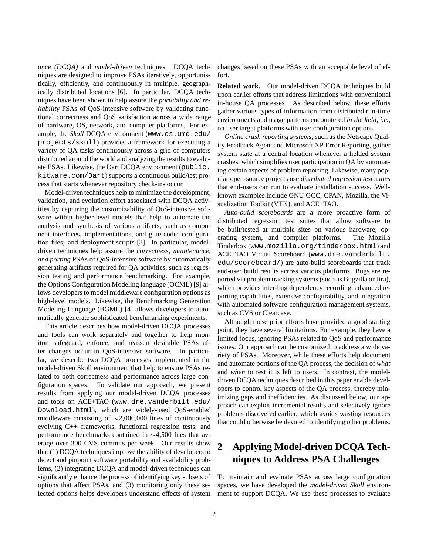*ance (DCQA)* and *model-driven* techniques. DCQA techniques are designed to improve PSAs iteratively, opportunistically, efficiently, and continuously in multiple, geographically distributed locations [6]. In particular, DCQA techniques have been shown to help assure the *portability and reliability* PSAs of OoS-intensive software by validating functional correctness and QoS satisfaction across a wide range of hardware, OS, network, and compiler platforms. For example, the *Skoll* DCQA environment (www.cs.umd.edu/ projects/skoll) provides a framework for executing a variety of QA tasks continuously across a grid of computers distributed around the world and analyzing the results to evaluate PSAs. Likewise, the Dart DCQA environment (public. kitware.com/Dart) supports a continuous build/test process that starts whenever repository check-ins occur.

Model-driven techniques help to minimize the development, validation, and evolution effort associated with DCQA activities by capturing the customizability of QoS-intensive software within higher-level models that help to automate the analysis and synthesis of various artifacts, such as component interfaces, implementations, and glue code; configuration files; and deployment scripts [3]. In particular, modeldriven techniques help assure the *correctness, maintenance, and porting* PSAs of QoS-intensive software by automatically generating artifacts required for QA activities, such as regression testing and performance benchmarking. For example, the Options Configuration Modeling language (OCML) [9] allows developers to model middleware configuration options as high-level models. Likewise, the Benchmarking Generation Modeling Language (BGML) [4] allows developers to automatically generate sophisticated benchmarking experiments.

This article describes how model-driven DCQA processes and tools can work separately and together to help monitor, safeguard, enforce, and reassert desirable PSAs after changes occur in QoS-intensive software. In particular, we describe two DCQA processes implemented in the model-driven Skoll environment that help to ensure PSAs related to both correctness and performance across large configuration spaces. To validate our approach, we present results from applying our model-driven DCQA processes and tools on ACE+TAO (www.dre.vanderbilt.edu/ Download.html), which are widely-used QoS-enabled middleware consisting of  $\sim$ 2,000,000 lines of continuously evolving C++ frameworks, functional regression tests, and performance benchmarks contained in  $\sim$ 4,500 files that average over 300 CVS commits per week. Our results show that (1) DCQA techniques improve the ability of developers to detect and pinpoint software portability and availability problems, (2) integrating DCQA and model-driven techniques can significantly enhance the process of identifying key subsets of options that affect PSAs, and (3) monitoring only these selected options helps developers understand effects of system changes based on these PSAs with an acceptable level of effort.

**Related work.** Our model-driven DCQA techniques build upon earlier efforts that address limitations with conventional in-house QA processes. As described below, these efforts gather various types of information from distributed run-time environments and usage patterns encountered *in the field*, *i.e.*, on user target platforms with user configuration options.

*Online crash reporting systems*, such as the Netscape Quality Feedback Agent and Microsoft XP Error Reporting, gather system state at a central location whenever a fielded system crashes, which simplifies user participation in QA by automating certain aspects of problem reporting. Likewise, many popular open-source projects use *distributed regression test suites* that end-users can run to evaluate installation success. Wellknown examples include GNU GCC, CPAN, Mozilla, the Visualization Toolkit (VTK), and ACE+TAO.

*Auto-build scoreboards* are a more proactive form of distributed regression test suites that allow software to be built/tested at multiple sites on various hardware, operating system, and compiler platforms. The Mozilla Tinderbox (www.mozilla.org/tinderbox.html) and ACE+TAO Virtual Scoreboard (www.dre.vanderbilt. edu/scoreboard/) are auto-build scoreboards that track end-user build results across various platforms. Bugs are reported via problem tracking systems (such as Bugzilla or Jira), which provides inter-bug dependency recording, advanced reporting capabilities, extensive configurability, and integration with automated software configuration management systems, such as CVS or Clearcase.

Although these prior efforts have provided a good starting point, they have several limitations. For example, they have a limited focus, ignoring PSAs related to QoS and performance issues. Our approach can be customized to address a wide variety of PSAs. Moreover, while these efforts help document and automate portions of the QA process, the decision of *what* and *when* to test it is left to users. In contrast, the modeldriven DCQA techniques described in this paper enable developers to control key aspects of the QA process, thereby minimizing gaps and inefficiencies. As discussed below, our approach can exploit incremental results and selectively ignore problems discovered earlier, which avoids wasting resources that could otherwise be devoted to identifying other problems.

# **2 Applying Model-driven DCQA Techniques to Address PSA Challenges**

To maintain and evaluate PSAs across large configuration spaces, we have developed the *model-driven Skoll* environment to support DCQA. We use these processes to evaluate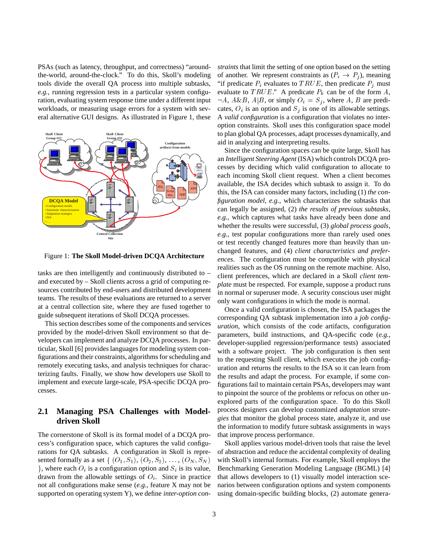PSAs (such as latency, throughput, and correctness) "aroundthe-world, around-the-clock." To do this, Skoll's modeling tools divide the overall QA process into multiple subtasks, *e.g.*, running regression tests in a particular system configuration, evaluating system response time under a different input workloads, or measuring usage errors for a system with several alternative GUI designs. As illustrated in Figure 1, these



Figure 1: **The Skoll Model-driven DCQA Architecture**

tasks are then intelligently and continuously distributed to – and executed by – Skoll clients across a grid of computing resources contributed by end-users and distributed development teams. The results of these evaluations are returned to a server at a central collection site, where they are fused together to guide subsequent iterations of Skoll DCQA processes.

This section describes some of the components and services provided by the model-driven Skoll environment so that developers can implement and analyze DCQA processes. In particular, Skoll [6] provides languages for modeling system configurations and their constraints, algorithms for scheduling and remotely executing tasks, and analysis techniques for characterizing faults. Finally, we show how developers use Skoll to implement and execute large-scale, PSA-specific DCQA processes.

## **2.1 Managing PSA Challenges with Modeldriven Skoll**

The cornerstone of Skoll is its formal model of a DCQA process's configuration space, which captures the valid configurations for QA subtasks. A configuration in Skoll is represented formally as a set  $\{ (O_1, S_1), (O_2, S_2), \ldots, (O_N, S_N) \}$ , where each  $O_i$  is a configuration option and  $S_i$  is its value, drawn from the allowable settings of  $O_i$ . Since in practice not all configurations make sense (*e.g.*, feature X may not be supported on operating system Y), we define *inter-option con-* *straints* that limit the setting of one option based on the setting of another. We represent constraints as  $(P_i \rightarrow P_j)$ , meaning "if predicate  $P_i$  evaluates to  $TRUE$ , then predicate  $P_j$  must evaluate to TRUE." A predicate  $P_k$  can be of the form A,  $\neg A$ ,  $A \& B$ ,  $A | B$ , or simply  $O_i = S_j$ , where A, B are predicates,  $O_i$  is an option and  $S_i$  is one of its allowable settings. A *valid configuration* is a configuration that violates no interoption constraints. Skoll uses this configuration space model to plan global QA processes, adapt processes dynamically, and aid in analyzing and interpreting results.

Since the configuration spaces can be quite large, Skoll has an *Intelligent Steering Agent* (ISA) which controls DCQA processes by deciding which valid configuration to allocate to each incoming Skoll client request. When a client becomes available, the ISA decides which subtask to assign it. To do this, the ISA can consider many factors, including (1) *the configuration model*, *e.g.*, which characterizes the subtasks that can legally be assigned, (2) *the results of previous subtasks*, *e.g.*, which captures what tasks have already been done and whether the results were successful, (3) *global process goals*, *e.g.*, test popular configurations more than rarely used ones or test recently changed features more than heavily than unchanged features, and (4) *client characteristics and preferences*. The configuration must be compatible with physical realities such as the OS running on the remote machine. Also, client preferences, which are declared in a Skoll *client template* must be respected. For example, suppose a product runs in normal or superuser mode. A security conscious user might only want configurations in which the mode is normal.

Once a valid configuration is chosen, the ISA packages the corresponding QA subtask implementation into a *job configuration*, which consists of the code artifacts, configuration parameters, build instructions, and QA-specific code (*e.g.*, developer-supplied regression/performance tests) associated with a software project. The job configuration is then sent to the requesting Skoll client, which executes the job configuration and returns the results to the ISA so it can learn from the results and adapt the process. For example, if some configurations fail to maintain certain PSAs, developers may want to pinpoint the source of the problems or refocus on other unexplored parts of the configuration space. To do this Skoll process designers can develop customized *adaptation strategies* that monitor the global process state, analyze it, and use the information to modify future subtask assignments in ways that improve process performance.

Skoll applies various model-driven tools that raise the level of abstraction and reduce the accidental complexity of dealing with Skoll's internal formats. For example, Skoll employs the Benchmarking Generation Modeling Language (BGML) [4] that allows developers to (1) visually model interaction scenarios between configuration options and system components using domain-specific building blocks, (2) automate genera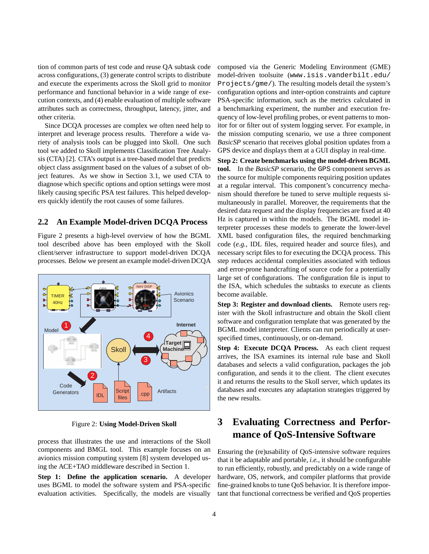tion of common parts of test code and reuse QA subtask code across configurations, (3) generate control scripts to distribute and execute the experiments across the Skoll grid to monitor performance and functional behavior in a wide range of execution contexts, and (4) enable evaluation of multiple software attributes such as correctness, throughput, latency, jitter, and other criteria.

Since DCQA processes are complex we often need help to interpret and leverage process results. Therefore a wide variety of analysis tools can be plugged into Skoll. One such tool we added to Skoll implements Classification Tree Analysis (CTA) [2]. CTA's output is a tree-based model that predicts object class assignment based on the values of a subset of object features. As we show in Section 3.1, we used CTA to diagnose which specific options and option settings were most likely causing specific PSA test failures. This helped developers quickly identify the root causes of some failures.

### **2.2 An Example Model-driven DCQA Process**

Figure 2 presents a high-level overview of how the BGML tool described above has been employed with the Skoll client/server infrastructure to support model-driven DCQA processes. Below we present an example model-driven DCQA



Figure 2: **Using Model-Driven Skoll**

process that illustrates the use and interactions of the Skoll components and BMGL tool. This example focuses on an avionics mission computing system [8] system developed using the ACE+TAO middleware described in Section 1.

**Step 1: Define the application scenario.** A developer uses BGML to model the software system and PSA-specific evaluation activities. Specifically, the models are visually

composed via the Generic Modeling Environment (GME) model-driven toolsuite (www.isis.vanderbilt.edu/ Projects/gme/). The resulting models detail the system's configuration options and inter-option constraints and capture PSA-specific information, such as the metrics calculated in a benchmarking experiment, the number and execution frequency of low-level profiling probes, or event patterns to monitor for or filter out of system logging server. For example, in the mission computing scenario, we use a three component *BasicSP* scenario that receives global position updates from a GPS device and displays them at a GUI display in real-time.

**Step 2: Create benchmarks using the model-driven BGML tool.** In the *BasicSP* scenario, the GPS component serves as the source for multiple components requiring position updates at a regular interval. This component's concurrency mechanism should therefore be tuned to serve multiple requests simultaneously in parallel. Moreover, the requirements that the desired data request and the display frequencies are fixed at 40 Hz is captured in within the models. The BGML model interpreter processes these models to generate the lower-level XML based configuration files, the required benchmarking code (*e.g.*, IDL files, required header and source files), and necessary script files to for executing the DCQA process. This step reduces accidental complexities associated with tedious and error-prone handcrafting of source code for a potentially large set of configurations. The configuration file is input to the ISA, which schedules the subtasks to execute as clients become available.

**Step 3: Register and download clients.** Remote users register with the Skoll infrastructure and obtain the Skoll client software and configuration template that was generated by the BGML model interpreter. Clients can run periodically at userspecified times, continuously, or on-demand.

**Step 4: Execute DCQA Process.** As each client request arrives, the ISA examines its internal rule base and Skoll databases and selects a valid configuration, packages the job configuration, and sends it to the client. The client executes it and returns the results to the Skoll server, which updates its databases and executes any adaptation strategies triggered by the new results.

# **3 Evaluating Correctness and Performance of QoS-Intensive Software**

Ensuring the (re)usability of QoS-intensive software requires that it be adaptable and portable, *i.e.*, it should be configurable to run efficiently, robustly, and predictably on a wide range of hardware, OS, network, and compiler platforms that provide fine-grained knobs to tune QoS behavior. It is therefore important that functional correctness be verified and QoS properties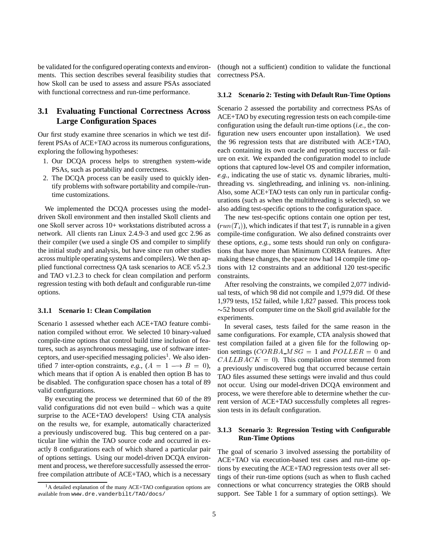be validated for the configured operating contexts and environments. This section describes several feasibility studies that how Skoll can be used to assess and assure PSAs associated with functional correctness and run-time performance.

## **3.1 Evaluating Functional Correctness Across Large Configuration Spaces**

Our first study examine three scenarios in which we test different PSAs of ACE+TAO across its numerous configurations, exploring the following hypotheses:

- 1. Our DCQA process helps to strengthen system-wide PSAs, such as portability and correctness.
- 2. The DCQA process can be easily used to quickly identify problems with software portability and compile-/runtime customizations.

We implemented the DCQA processes using the modeldriven Skoll environment and then installed Skoll clients and one Skoll server across 10+ workstations distributed across a network. All clients ran Linux 2.4.9-3 and used gcc 2.96 as their compiler (we used a single OS and compiler to simplify the initial study and analysis, but have since run other studies across multiple operating systems and compilers). We then applied functional correctness QA task scenarios to ACE v5.2.3 and TAO v1.2.3 to check for clean compilation and perform regression testing with both default and configurable run-time options.

### **3.1.1 Scenario 1: Clean Compilation**

Scenario 1 assessed whether each ACE+TAO feature combination compiled without error. We selected 10 binary-valued compile-time options that control build time inclusion of features, such as asynchronous messaging, use of software interceptors, and user-specified messaging policies<sup>1</sup>. We also identified 7 inter-option constraints, *e.g.*,  $(A = 1 \rightarrow B = 0)$ , which means that if option A is enabled then option B has to be disabled. The configuration space chosen has a total of 89 valid configurations.

By executing the process we determined that 60 of the 89 valid configurations did not even build – which was a quite surprise to the ACE+TAO developers! Using CTA analysis on the results we, for example, automatically characterized a previously undiscovered bug. This bug centered on a particular line within the TAO source code and occurred in exactly 8 configurations each of which shared a particular pair of options settings. Using our model-driven DCQA environment and process, we therefore successfully assessed the errorfree compilation attribute of ACE+TAO, which is a necessary

(though not a sufficient) condition to validate the functional correctness PSA.

#### **3.1.2 Scenario 2: Testing with Default Run-Time Options**

Scenario 2 assessed the portability and correctness PSAs of ACE+TAO by executing regression tests on each compile-time configuration using the default run-time options (*i.e.*, the configuration new users encounter upon installation). We used the 96 regression tests that are distributed with ACE+TAO, each containing its own oracle and reporting success or failure on exit. We expanded the configuration model to include options that captured low-level OS and compiler information, *e.g.*, indicating the use of static vs. dynamic libraries, multithreading vs. singlethreading, and inlining vs. non-inlining. Also, some ACE+TAO tests can only run in particular configurations (such as when the multithreading is selected), so we also adding test-specific options to the configuration space.

The new test-specific options contain one option per test,  $(run(T<sub>i</sub>))$ , which indicates if that test  $T<sub>i</sub>$  is runnable in a given compile-time configuration. We also defined constraints over these options, *e.g.*, some tests should run only on configurations that have more than Minimum CORBA features. After making these changes, the space now had 14 compile time options with 12 constraints and an additional 120 test-specific constraints.

After resolving the constraints, we compiled 2,077 individual tests, of which 98 did not compile and 1,979 did. Of these 1,979 tests, 152 failed, while 1,827 passed. This process took  $\sim$  52 hours of computer time on the Skoll grid available for the experiments.

In several cases, tests failed for the same reason in the same configurations. For example, CTA analysis showed that test compilation failed at a given file for the following option settings  $(CORBA \_MSG = 1$  and  $POLLER = 0$  and  $CALLBACK = 0$ . This compilation error stemmed from a previously undiscovered bug that occurred because certain TAO files assumed these settings were invalid and thus could not occur. Using our model-driven DCQA environment and process, we were therefore able to determine whether the current version of ACE+TAO successfully completes all regression tests in its default configuration.

#### **3.1.3 Scenario 3: Regression Testing with Configurable Run-Time Options**

The goal of scenario 3 involved assessing the portability of ACE+TAO via execution-based test cases and run-time options by executing the ACE+TAO regression tests over all settings of their run-time options (such as when to flush cached connections or what concurrency strategies the ORB should support. See Table 1 for a summary of option settings). We

 $1<sup>1</sup>A$  detailed explanation of the many ACE+TAO configuration options are available from www.dre.vanderbilt/TAO/docs/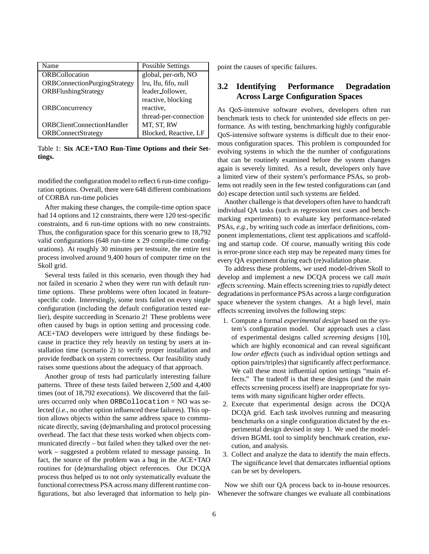| Name                                | <b>Possible Settings</b> |  |
|-------------------------------------|--------------------------|--|
| <b>ORBCollocation</b>               | global, per-orb, NO      |  |
| <b>ORBConnectionPurgingStrategy</b> | lru, lfu, fifo, null     |  |
| ORBFlushingStrategy                 | leader_follower,         |  |
|                                     | reactive, blocking       |  |
| <b>ORBConcurrency</b>               | reactive,                |  |
|                                     | thread-per-connection    |  |
| <b>ORBClientConnectionHandler</b>   | MT, ST, RW               |  |
| <b>ORBConnectStrategy</b>           | Blocked, Reactive, LF    |  |

Table 1: **Six ACE+TAO Run-Time Options and their Settings.**

modified the configuration model to reflect 6 run-time configuration options. Overall, there were 648 different combinations of CORBA run-time policies

After making these changes, the compile-time option space had 14 options and 12 constraints, there were 120 test-specific constraints, and 6 run-time options with no new constraints. Thus, the configuration space for this scenario grew to 18,792 valid configurations (648 run-time x 29 compile-time configurations). At roughly 30 minutes per testsuite, the entire test process involved around 9,400 hours of computer time on the Skoll grid.

Several tests failed in this scenario, even though they had not failed in scenario 2 when they were run with default runtime options. These problems were often located in featurespecific code. Interestingly, some tests failed on every single configuration (including the default configuration tested earlier), despite succeeding in Scenario 2! These problems were often caused by bugs in option setting and processing code. ACE+TAO developers were intrigued by these findings because in practice they rely heavily on testing by users at installation time (scenario 2) to verify proper installation and provide feedback on system correctness. Our feasibility study raises some questions about the adequacy of that approach.

Another group of tests had particularly interesting failure patterns. Three of these tests failed between 2,500 and 4,400 times (out of 18,792 executions). We discovered that the failures occurred only when ORBCollocation = NO was selected (*i.e.*, no other option influenced these failures). This option allows objects within the same address space to communicate directly, saving (de)marshaling and protocol processing overhead. The fact that these tests worked when objects communicated directly – but failed when they talked over the network – suggested a problem related to message passing. In fact, the source of the problem was a bug in the ACE+TAO routines for (de)marshaling object references. Our DCQA process thus helped us to not only systematically evaluate the functional correctness PSA across many different runtime configurations, but also leveraged that information to help pinpoint the causes of specific failures.

## **3.2 Identifying Performance Degradation Across Large Configuration Spaces**

As QoS-intensive software evolves, developers often run benchmark tests to check for unintended side effects on performance. As with testing, benchmarking highly configurable QoS-intensive software systems is difficult due to their enormous configuration spaces. This problem is compounded for evolving systems in which the the number of configurations that can be routinely examined before the system changes again is severely limited. As a result, developers only have a limited view of their system's performance PSAs, so problems not readily seen in the few tested configurations can (and do) escape detection until such systems are fielded.

Another challenge is that developers often have to handcraft individual QA tasks (such as regression test cases and benchmarking experiments) to evaluate key performance-related PSAs, *e.g.*, by writing such code as interface definitions, component implementations, client test applications and scaffolding and startup code. Of course, manually writing this code is error-prone since each step may be repeated many times for every QA experiment during each (re)validation phase.

To address these problems, we used model-driven Skoll to develop and implement a new DCQA process we call *main effects screening*. Main effects screening tries to *rapidly* detect degradations in performance PSAs across a large configuration space whenever the system changes. At a high level, main effects screening involves the following steps:

- 1. Compute a formal *experimental design* based on the system's configuration model. Our approach uses a class of experimental designs called *screening designs* [10], which are highly economical and can reveal significant *low order effects* (such as individual option settings and option pairs/triples) that significantly affect performance. We call these most influential option settings "main effects." The tradeoff is that these designs (and the main effects screening process itself) are inappropriate for systems with many significant higher order effects.
- 2. Execute that experimental design across the DCQA DCQA grid. Each task involves running and measuring benchmarks on a single configuration dictated by the experimental design devised in step 1. We used the modeldriven BGML tool to simplify benchmark creation, execution, and analysis.
- 3. Collect and analyze the data to identify the main effects. The significance level that demarcates influential options can be set by developers.

Now we shift our QA process back to in-house resources. Whenever the software changes we evaluate all combinations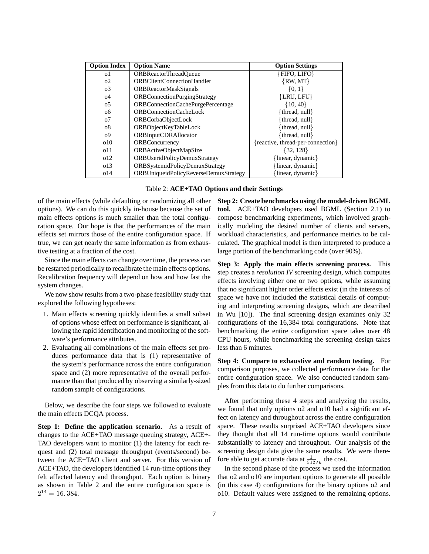| <b>Option Index</b> | <b>Option Name</b>                    | <b>Option Settings</b>            |
|---------------------|---------------------------------------|-----------------------------------|
| o1                  | <b>ORBReactorThreadOueue</b>          | ${FIFO, LIFO}$                    |
| O <sub>2</sub>      | ORBClientConnectionHandler            | $\{RW, MT\}$                      |
| $\sigma$ 3          | <b>ORBReactorMaskSignals</b>          | $\{0, 1\}$                        |
| O <sub>4</sub>      | ORBConnectionPurgingStrategy          | ${LRU, LFU}$                      |
| 0 <sub>2</sub>      | ORBConnectionCachePurgePercentage     | $\{10, 40\}$                      |
| 06                  | ORBConnectionCacheLock                | ${thread, null}$                  |
| 07                  | ORBCorbaObjectLock                    | {thread, null}                    |
| 08                  | ORBObjectKeyTableLock                 | {thread, $null$ }                 |
| $^{09}$             | <b>ORBInputCDRAllocator</b>           | ${thread, null}$                  |
| 010                 | ORBConcurrency                        | {reactive, thread-per-connection} |
| 011                 | ORBActiveObjectMapSize                | {32, 128}                         |
| 012                 | ORBUseridPolicyDemuxStrategy          | {linear, dynamic}                 |
| 0 <sub>13</sub>     | ORBSystemidPolicyDemuxStrategy        | {linear, dynamic}                 |
| 0 <sup>14</sup>     | ORBUniqueidPolicyReverseDemuxStrategy | linear, dynamic                   |

Table 2: **ACE+TAO Options and their Settings**

of the main effects (while defaulting or randomizing all other options). We can do this quickly in-house because the set of main effects options is much smaller than the total configuration space. Our hope is that the performances of the main effects set mirrors those of the entire configuration space. If true, we can get nearly the same information as from exhaustive testing at a fraction of the cost.

Since the main effects can change over time, the process can be restarted periodically to recalibrate the main effects options. Recalibration frequency will depend on how and how fast the system changes.

We now show results from a two-phase feasibility study that explored the following hypotheses:

- 1. Main effects screening quickly identifies a small subset of options whose effect on performance is significant, allowing the rapid identification and monitoring of the software's performance attributes.
- 2. Evaluating all combinations of the main effects set produces performance data that is (1) representative of the system's performance across the entire configuration space and (2) more representative of the overall performance than that produced by observing a similarly-sized random sample of configurations.

Below, we describe the four steps we followed to evaluate the main effects DCQA process.

**Step 1: Define the application scenario.** As a result of changes to the ACE+TAO message queuing strategy, ACE+- TAO developers want to monitor (1) the latency for each request and (2) total message throughput (events/second) between the ACE+TAO client and server. For this version of ACE+TAO, the developers identified 14 run-time options they felt affected latency and throughput. Each option is binary as shown in Table 2 and the entire configuration space is  $2^{14} = 16,384.$ 

**Step 2: Create benchmarks using the model-driven BGML tool.** ACE+TAO developers used BGML (Section 2.1) to compose benchmarking experiments, which involved graphically modeling the desired number of clients and servers, workload characteristics, and performance metrics to be calculated. The graphical model is then interpreted to produce a large portion of the benchmarking code (over 90%).

**Step 3: Apply the main effects screening process.** This step creates a *resolution IV* screening design, which computes effects involving either one or two options, while assuming that no significant higher order effects exist (in the interests of space we have not included the statistical details of computing and interpreting screening designs, which are described in Wu [10]). The final screening design examines only 32 configurations of the 16,384 total configurations. Note that benchmarking the entire configuration space takes over 48 CPU hours, while benchmarking the screening design takes less than 6 minutes.

**Step 4: Compare to exhaustive and random testing.** For comparison purposes, we collected performance data for the entire configuration space. We also conducted random samples from this data to do further comparisons.

After performing these 4 steps and analyzing the results, we found that only options o2 and o10 had a significant effect on latency and throughout across the entire configuration space. These results surprised ACE+TAO developers since they thought that all 14 run-time options would contribute substantially to latency and throughput. Our analysis of the screening design data give the same results. We were therefore able to get accurate data at  $\frac{1}{512}$ <sub>th</sub> the cost.

In the second phase of the process we used the information that o2 and o10 are important options to generate all possible (in this case 4) configurations for the binary options o2 and o10. Default values were assigned to the remaining options.